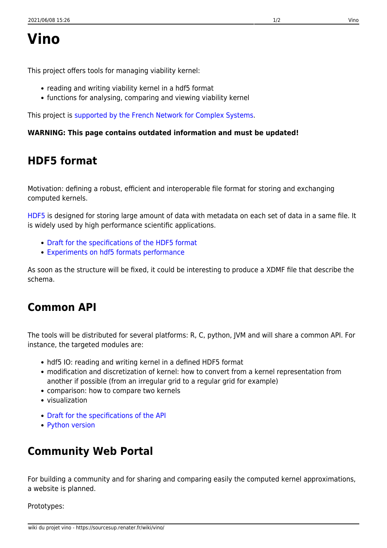This project offers tools for managing viability kernel:

- reading and writing viability kernel in a hdf5 format
- functions for analysing, comparing and viewing viability kernel

This project is [supported by the French Network for Complex Systems.](https://sourcesup.renater.fr/wiki/vino/rnsc)

#### **WARNING: This page contains outdated information and must be updated!**

#### **HDF5 format**

Motivation: defining a robust, efficient and interoperable file format for storing and exchanging computed kernels.

[HDF5](https://en.wikipedia.org/wiki/Hierarchical_Data_Format) is designed for storing large amount of data with metadata on each set of data in a same file. It is widely used by high performance scientific applications.

- [Draft for the specifications of the HDF5 format](https://sourcesup.renater.fr/wiki/vino/hdf5formatspecifications)
- [Experiments on hdf5 formats performance](https://sourcesup.renater.fr/wiki/vino/hdf5experiments)

As soon as the structure will be fixed, it could be interesting to produce a XDMF file that describe the schema.

### **Common API**

The tools will be distributed for several platforms: R, C, python, JVM and will share a common API. For instance, the targeted modules are:

- hdf5 IO: reading and writing kernel in a defined HDF5 format
- modification and discretization of kernel: how to convert from a kernel representation from another if possible (from an irregular grid to a regular grid for example)
- comparison: how to compare two kernels
- visualization
- [Draft for the specifications of the API](https://sourcesup.renater.fr/wiki/vino/apispecifications)
- [Python version](https://sourcesup.renater.fr/wiki/vino/apipython)

### **Community Web Portal**

For building a community and for sharing and comparing easily the computed kernel approximations, a website is planned.

Prototypes: